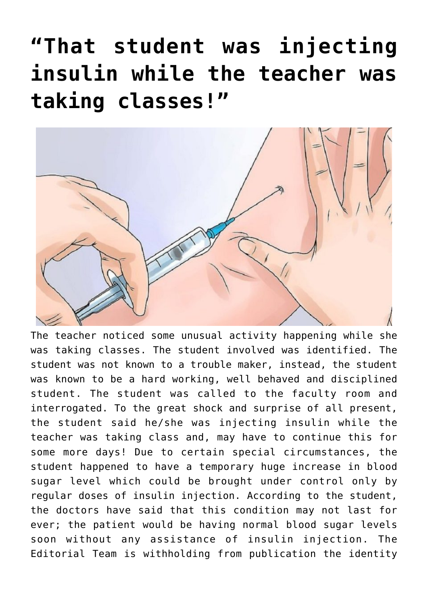## **["That student was injecting](https://news.vidyaacademy.ac.in/2019/09/04/that-student-was-injecting-insulin-while-the-teacher-was-taking-classes/) [insulin while the teacher was](https://news.vidyaacademy.ac.in/2019/09/04/that-student-was-injecting-insulin-while-the-teacher-was-taking-classes/) [taking classes!"](https://news.vidyaacademy.ac.in/2019/09/04/that-student-was-injecting-insulin-while-the-teacher-was-taking-classes/)**



The teacher noticed some unusual activity happening while she was taking classes. The student involved was identified. The student was not known to a trouble maker, instead, the student was known to be a hard working, well behaved and disciplined student. The student was called to the faculty room and interrogated. To the great shock and surprise of all present, the student said he/she was injecting insulin while the teacher was taking class and, may have to continue this for some more days! Due to certain special circumstances, the student happened to have a temporary huge increase in blood sugar level which could be brought under control only by regular doses of insulin injection. According to the student, the doctors have said that this condition may not last for ever; the patient would be having normal blood sugar levels soon without any assistance of insulin injection. The Editorial Team is withholding from publication the identity